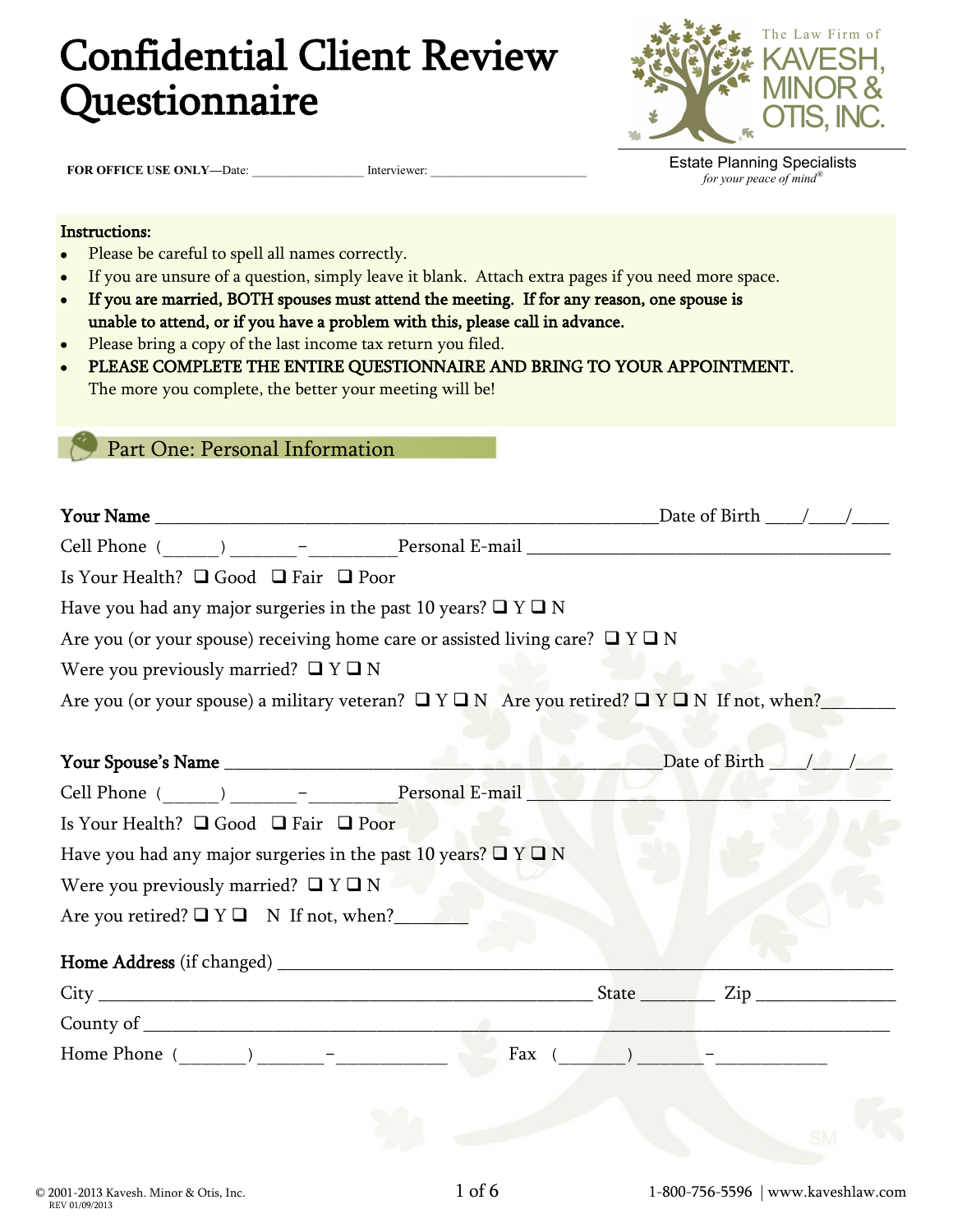# Confidential Client Review Questionnaire



**FOR OFFICE USE ONLY-Date: \_\_\_\_\_\_\_\_\_\_\_\_\_\_\_\_\_\_\_\_\_\_\_ Interviewer:** 

Estate Planning Specialists *for your peace of mind®*

#### Instructions:

- Please be careful to spell all names correctly.  $\bullet$
- If you are unsure of a question, simply leave it blank. Attach extra pages if you need more space.  $\bullet$
- If you are married, BOTH spouses must attend the meeting. If for any reason, one spouse is  $\bullet$ unable to attend, or if you have a problem with this, please call in advance.
- Please bring a copy of the last income tax return you filed.
- PLEASE COMPLETE THE ENTIRE QUESTIONNAIRE AND BRING TO YOUR APPOINTMENT. The more you complete, the better your meeting will be!

Part One: Personal Information

| Is Your Health? $\Box$ Good $\Box$ Fair $\Box$ Poor                                                         |                      |
|-------------------------------------------------------------------------------------------------------------|----------------------|
| Have you had any major surgeries in the past 10 years? $\Box$ Y $\Box$ N                                    |                      |
| Are you (or your spouse) receiving home care or assisted living care? $\Box$ Y $\Box$ N                     |                      |
| Were you previously married? $\Box$ Y $\Box$ N                                                              |                      |
| Are you (or your spouse) a military veteran? $\Box Y \Box N$ Are you retired? $\Box Y \Box N$ If not, when? |                      |
|                                                                                                             |                      |
|                                                                                                             | Date of Birth /      |
|                                                                                                             |                      |
| Is Your Health? □ Good □ Fair □ Poor                                                                        |                      |
| Have you had any major surgeries in the past 10 years? $\Box$ Y $\Box$ N                                    |                      |
| Were you previously married? $\Box$ Y $\Box$ N                                                              |                      |
| Are you retired? $\Box$ Y $\Box$ N If not, when?                                                            |                      |
|                                                                                                             |                      |
|                                                                                                             |                      |
|                                                                                                             |                      |
|                                                                                                             | Fax $($ $)$ $)$ $ -$ |
|                                                                                                             |                      |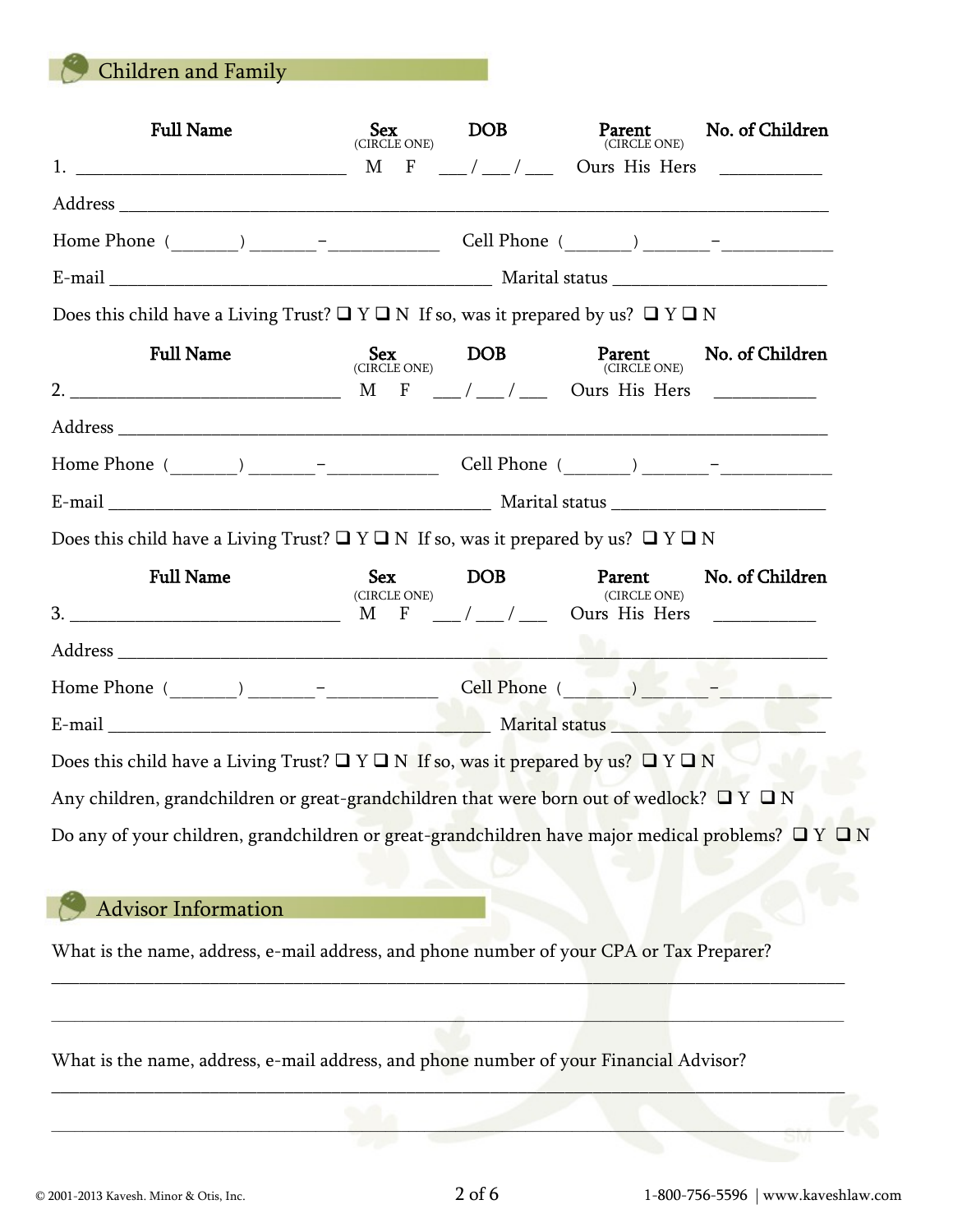Children and Family

| <b>Full Name</b>                                                                                                                                                                                                                                                                                                       | <b>Sex</b><br>(CIRCLE ONE) | DOB                                                      | Parent<br>(CIRCLE ONE)                            | No. of Children |
|------------------------------------------------------------------------------------------------------------------------------------------------------------------------------------------------------------------------------------------------------------------------------------------------------------------------|----------------------------|----------------------------------------------------------|---------------------------------------------------|-----------------|
| $1.$ $\frac{1}{2}$ $\frac{1}{2}$ $\frac{1}{2}$ $\frac{1}{2}$ $\frac{1}{2}$ $\frac{1}{2}$ $\frac{1}{2}$ $\frac{1}{2}$ $\frac{1}{2}$ $\frac{1}{2}$ $\frac{1}{2}$ $\frac{1}{2}$ $\frac{1}{2}$ $\frac{1}{2}$ $\frac{1}{2}$ $\frac{1}{2}$ $\frac{1}{2}$ $\frac{1}{2}$ $\frac{1}{2}$ $\frac{1}{2}$ $\frac{1}{2}$ $\frac{1}{$ |                            |                                                          | $M$ F $\frac{1}{2}$ / $\frac{1}{2}$ Ours His Hers |                 |
|                                                                                                                                                                                                                                                                                                                        |                            |                                                          |                                                   |                 |
|                                                                                                                                                                                                                                                                                                                        |                            |                                                          |                                                   |                 |
|                                                                                                                                                                                                                                                                                                                        |                            |                                                          |                                                   |                 |
| Does this child have a Living Trust? $\Box$ Y $\Box$ N If so, was it prepared by us? $\Box$ Y $\Box$ N                                                                                                                                                                                                                 |                            |                                                          |                                                   |                 |
| <b>Full Name</b>                                                                                                                                                                                                                                                                                                       |                            | $\underset{\text{(CIRCLE ONE)}}{\texttt{oex}}\text{DOB}$ | Parent<br>(CIRCLE ONE)                            | No. of Children |
|                                                                                                                                                                                                                                                                                                                        |                            |                                                          |                                                   |                 |
|                                                                                                                                                                                                                                                                                                                        |                            |                                                          |                                                   |                 |
|                                                                                                                                                                                                                                                                                                                        |                            |                                                          |                                                   |                 |
|                                                                                                                                                                                                                                                                                                                        |                            |                                                          |                                                   |                 |
| Does this child have a Living Trust? $\Box$ Y $\Box$ N If so, was it prepared by us? $\Box$ Y $\Box$ N                                                                                                                                                                                                                 |                            |                                                          |                                                   |                 |
| <b>Full Name</b>                                                                                                                                                                                                                                                                                                       | <b>Sex</b>                 | DOB <sub>1</sub>                                         | Parent                                            | No. of Children |
|                                                                                                                                                                                                                                                                                                                        | (CIRCLE ONE)               |                                                          | (CIRCLE ONE)                                      |                 |
|                                                                                                                                                                                                                                                                                                                        |                            |                                                          |                                                   |                 |
|                                                                                                                                                                                                                                                                                                                        |                            |                                                          |                                                   |                 |
|                                                                                                                                                                                                                                                                                                                        |                            |                                                          |                                                   |                 |
| Does this child have a Living Trust? $\Box$ Y $\Box$ N If so, was it prepared by us? $\Box$ Y $\Box$ N                                                                                                                                                                                                                 |                            |                                                          |                                                   |                 |
| Any children, grandchildren or great-grandchildren that were born out of wedlock? $\Box$ Y $\Box$ N                                                                                                                                                                                                                    |                            |                                                          |                                                   |                 |
| Do any of your children, grandchildren or great-grandchildren have major medical problems? $\Box$ Y $\Box$ N                                                                                                                                                                                                           |                            |                                                          |                                                   |                 |
|                                                                                                                                                                                                                                                                                                                        |                            |                                                          |                                                   |                 |
| <b>Advisor Information</b>                                                                                                                                                                                                                                                                                             |                            |                                                          |                                                   |                 |
| What is the name, address, e-mail address, and phone number of your CPA or Tax Preparer?                                                                                                                                                                                                                               |                            |                                                          |                                                   |                 |
| What is the name, address, e-mail address, and phone number of your Financial Advisor?                                                                                                                                                                                                                                 |                            |                                                          |                                                   |                 |
|                                                                                                                                                                                                                                                                                                                        |                            |                                                          |                                                   |                 |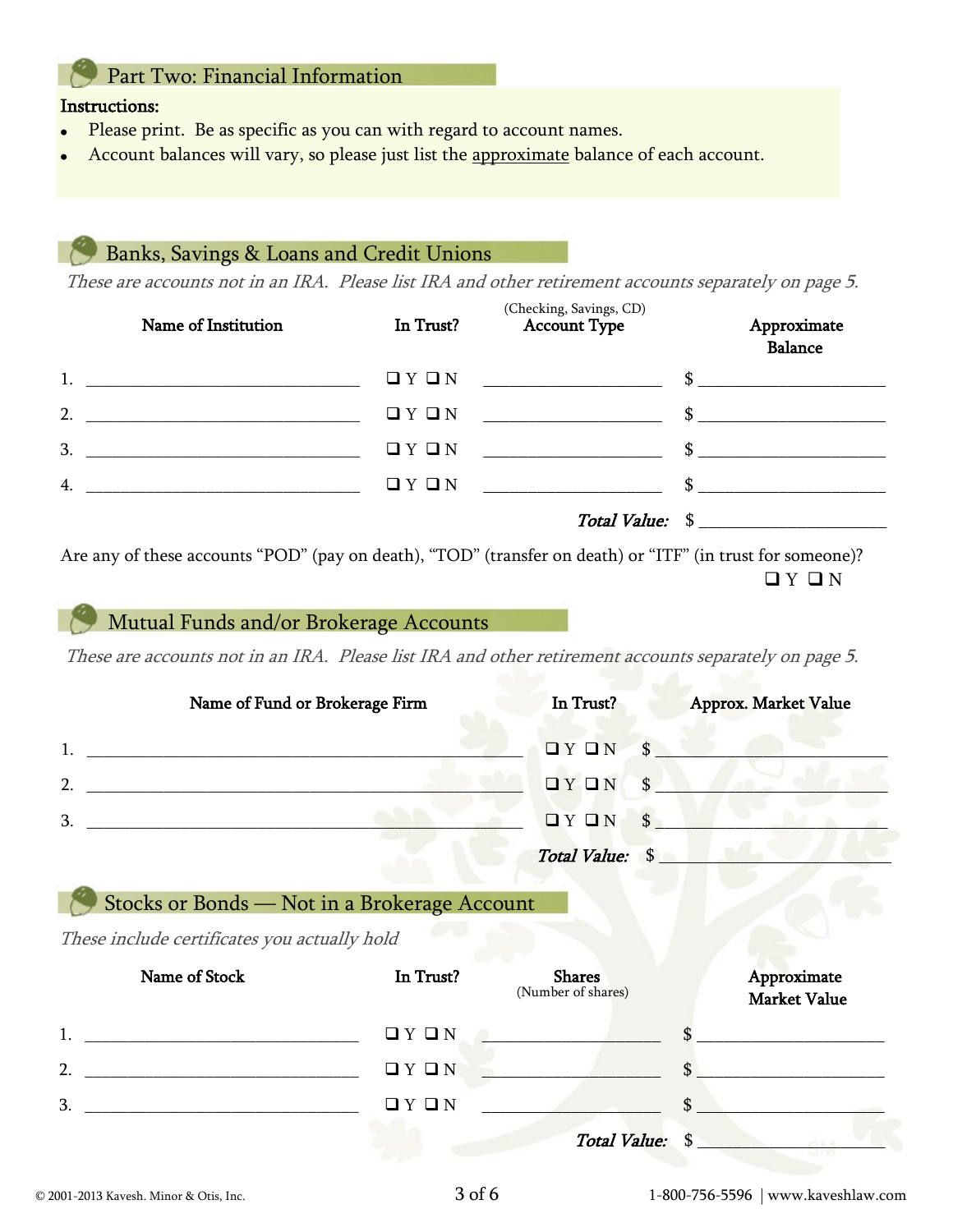# Part Two: Financial Information

#### Instructions:

- Please print. Be as specific as you can with regard to account names.
- Account balances will vary, so please just list the approximate balance of each account.

### Banks, Savings & Loans and Credit Unions

These are accounts not in an IRA. Please list IRA and other retirement accounts separately on page 5.

|    | Name of Institution                                | In Trust? | (Checking, Savings, CD)<br><b>Account Type</b> | Approximate<br><b>Balance</b> |
|----|----------------------------------------------------|-----------|------------------------------------------------|-------------------------------|
|    | $1.$ $\qquad \qquad$                               |           |                                                | $\sim$                        |
|    | 2. $\qquad \qquad$                                 | QYQN      | <u> 1980 - Johann Barbara, martxa a</u>        | $\sim$                        |
| 3. | <u> 1980 - Johann Barbara, martin amerikan per</u> | QYQN      | $\mathbb{S}$                                   |                               |
| 4. |                                                    | QYQN      |                                                | $\sim$                        |
|    |                                                    |           |                                                | Total Value: \$               |

Are any of these accounts "POD" (pay on death), "TOD" (transfer on death) or "ITF" (in trust for someone)?  $QYQN$ 

# Mutual Funds and/or Brokerage Accounts

These are accounts not in an IRA. Please list IRA and other retirement accounts separately on page 5.

|               | Name of Fund or Brokerage Firm | In Trust?                       | Approx. Market Value |
|---------------|--------------------------------|---------------------------------|----------------------|
|               |                                | $\Box Y \Box N$<br>$\mathbf{s}$ |                      |
| $\mathcal{D}$ |                                | $\Box Y \Box N$<br>$\mathbf{s}$ |                      |
| 3             |                                | $\mathbf{s}$<br>I'Y I'N         |                      |
|               |                                | Total Value: \$                 |                      |

## Stocks or Bonds — Not in a Brokerage Account

These include certificates you actually hold

| Name of Stock  | In Trust? | <b>Shares</b><br>(Number of shares) | Approximate<br>Market Value |
|----------------|-----------|-------------------------------------|-----------------------------|
|                | QYQN      |                                     |                             |
| $\overline{2}$ | QYQN      |                                     |                             |
| 3.             | QYQN      |                                     | \$                          |
|                |           | Total Value: \$                     |                             |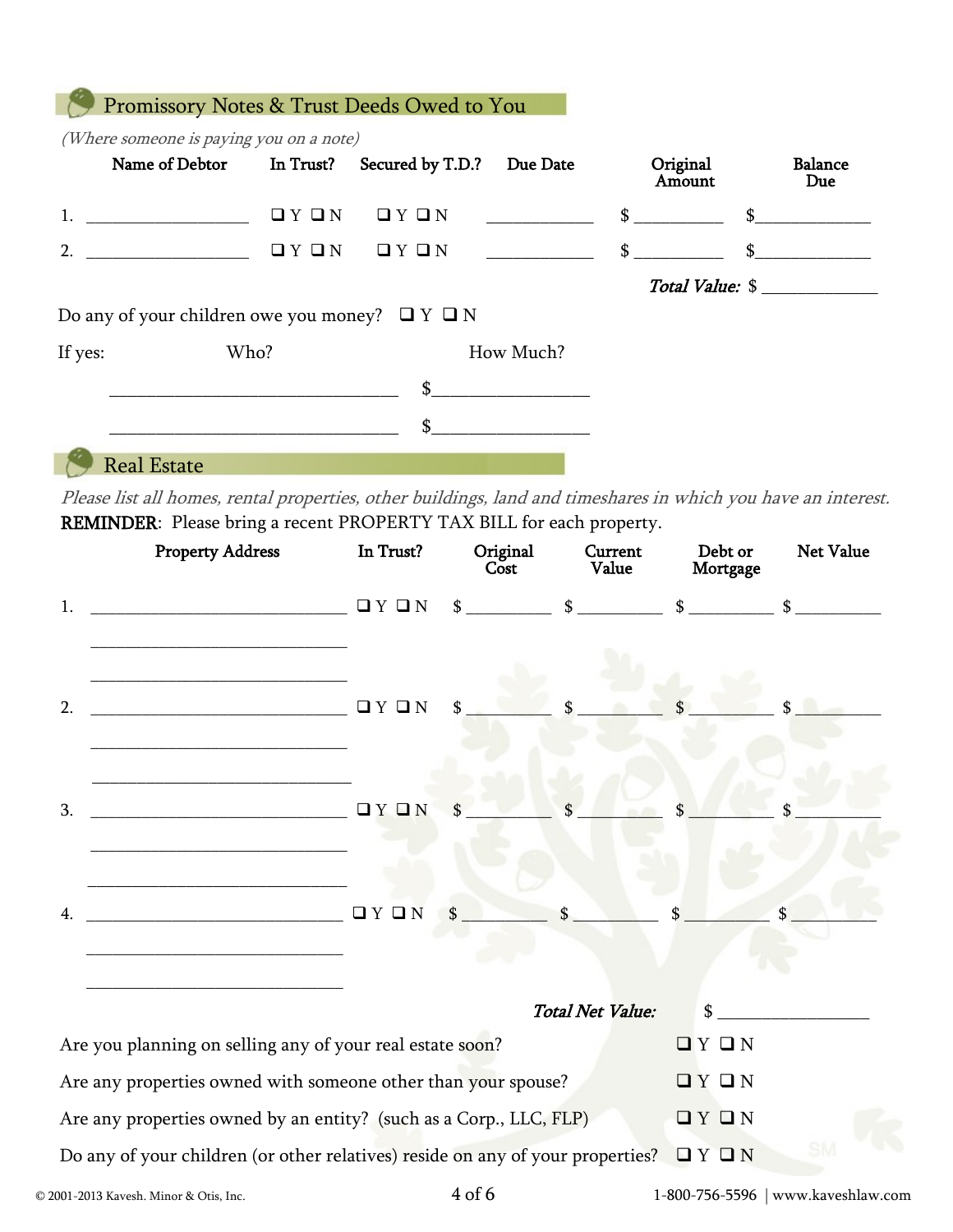|         |                      |      | Name of Debtor In Trust? Secured by T.D.?                | Due Date  | Original<br>Amount | <b>Balance</b><br>Due                                                 |
|---------|----------------------|------|----------------------------------------------------------|-----------|--------------------|-----------------------------------------------------------------------|
|         | $1.$ $\qquad \qquad$ | QYQN | QYQN                                                     |           |                    | $\mathbb$ $\mathbb$ $\mathbb$ $\mathbb$ $\mathbb$ $\mathbb$ $\mathbb$ |
|         | 2.                   |      | $\Box$ $Y$ $\Box$ $N$ $\Box$ $Y$ $\Box$ $N$              |           | \$                 | \$                                                                    |
|         |                      |      |                                                          |           |                    | Total Value: \$                                                       |
|         |                      |      | Do any of your children owe you money? $\Box$ Y $\Box$ N |           |                    |                                                                       |
| If yes: | Who?                 |      |                                                          | How Much? |                    |                                                                       |
|         |                      |      | $\mathbb{S}$                                             |           |                    |                                                                       |
|         |                      |      |                                                          |           |                    |                                                                       |

Please list all homes, rental properties, other buildings, land and timeshares in which you have an interest. REMINDER: Please bring a recent PROPERTY TAX BILL for each property.

|    | <b>Property Address</b>                                                                                                                                                                                                                                        | In Trust? | Original<br>Cost | Current<br>Value        | Debt or<br>Mortgage                                                                                                                                                     | <b>Net Value</b> |
|----|----------------------------------------------------------------------------------------------------------------------------------------------------------------------------------------------------------------------------------------------------------------|-----------|------------------|-------------------------|-------------------------------------------------------------------------------------------------------------------------------------------------------------------------|------------------|
| 1. | <b>OY ON</b><br><u> 1989 - Johann John Stein, markin fan it ferskearre fan it ferskearre fan it ferskearre fan it ferskearre fan</u>                                                                                                                           |           |                  |                         | $\frac{\text{S}}{\text{S}}$ $\frac{\text{S}}{\text{S}}$ $\frac{\text{S}}{\text{S}}$ $\frac{\text{S}}{\text{S}}$ $\frac{\text{S}}{\text{S}}$ $\frac{\text{S}}{\text{S}}$ |                  |
| 2. | <b>□ Y O N</b><br><u> 1989 - Johann John Stein, markin fan it ferstjer fan de ferstjer fan it ferstjer fan it ferstjer fan it fers</u><br><u> 2000 - Jan James James James James James James James James James James James James James James James James J</u> |           | \$               |                         |                                                                                                                                                                         |                  |
| 3. | <u> 1989 - Johann John Stone, markin amerikan basal dan berkembang dan berkembang dan basal dan berkembang dan be</u>                                                                                                                                          |           | \$               |                         |                                                                                                                                                                         |                  |
| 4. |                                                                                                                                                                                                                                                                |           | $\int$           | $\mathsf{s}$            |                                                                                                                                                                         |                  |
|    |                                                                                                                                                                                                                                                                |           |                  | <b>Total Net Value:</b> | $\mathbb{S}$                                                                                                                                                            |                  |
|    | Are you planning on selling any of your real estate soon?                                                                                                                                                                                                      |           |                  |                         | QYQN                                                                                                                                                                    |                  |
|    | Are any properties owned with someone other than your spouse?                                                                                                                                                                                                  |           |                  |                         | QYQN                                                                                                                                                                    |                  |
|    | Are any properties owned by an entity? (such as a Corp., LLC, FLP)                                                                                                                                                                                             |           |                  |                         | QYQN                                                                                                                                                                    |                  |
|    | Do any of your children (or other relatives) reside on any of your properties?                                                                                                                                                                                 |           |                  |                         | I'Y I'N                                                                                                                                                                 |                  |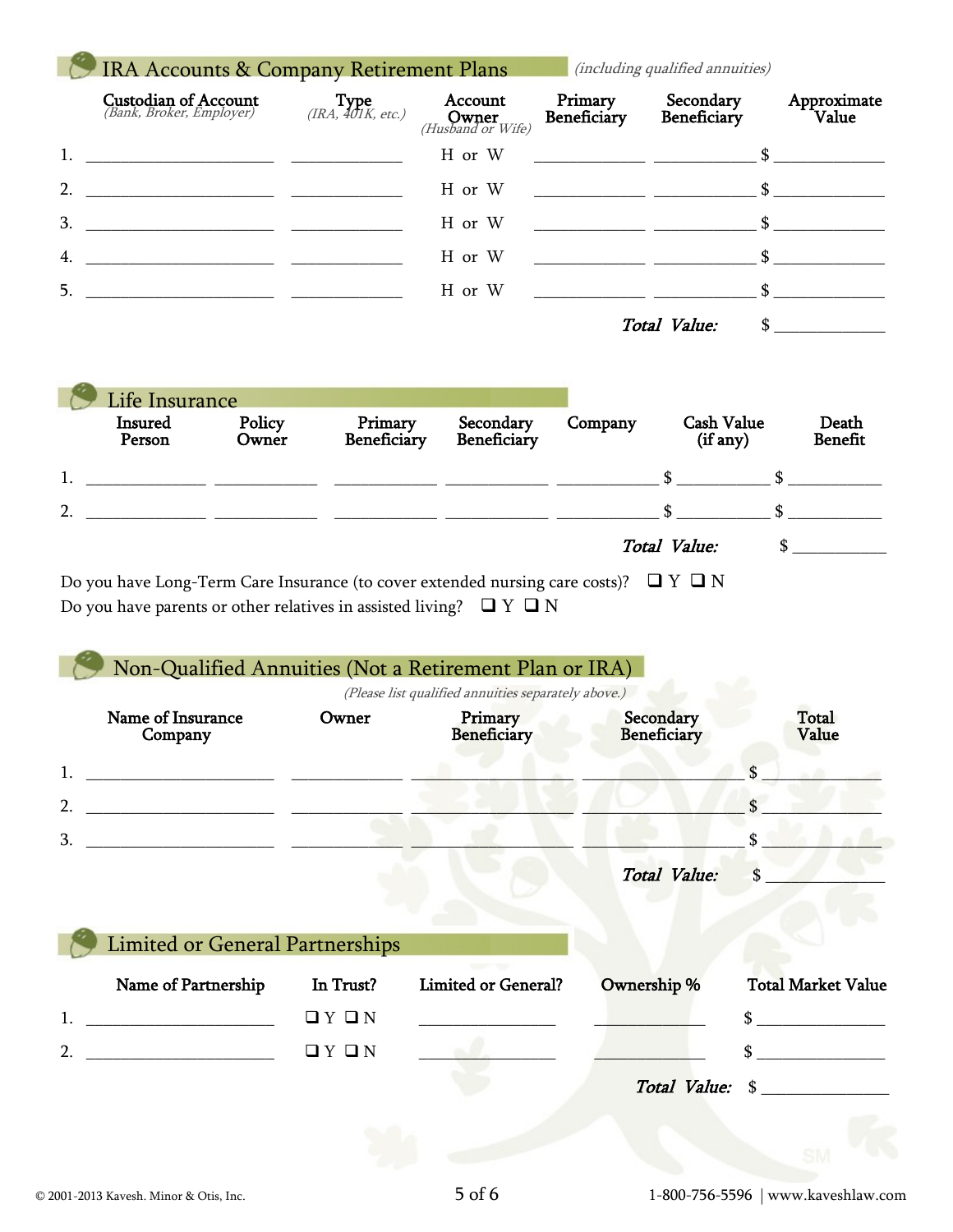|                | <b>IRA Accounts &amp; Company Retirement Plans</b>      |                          |                                                       | (including qualified annuities) |                                                                                                                                                                                                                                                                                                                                                                                                                                                                                 |                      |
|----------------|---------------------------------------------------------|--------------------------|-------------------------------------------------------|---------------------------------|---------------------------------------------------------------------------------------------------------------------------------------------------------------------------------------------------------------------------------------------------------------------------------------------------------------------------------------------------------------------------------------------------------------------------------------------------------------------------------|----------------------|
|                | <b>Custodian of Account</b><br>(Bank, Broker, Employer) | $Type$ (IRA, 401K, etc.) | Account<br><b>Owner</b><br>( <i>Husband or Wife</i> ) | Primary<br>Beneficiary          | Secondary<br>Beneficiary                                                                                                                                                                                                                                                                                                                                                                                                                                                        | Approximate<br>Value |
| $\mathbf{1}$ . | <u> 1980 - Jan Stein, amerikansk politiker (* 1900)</u> |                          | H or W                                                |                                 | $\overline{\phantom{a}}$ $\overline{\phantom{a}}$ $\overline{\phantom{a}}$ $\overline{\phantom{a}}$ $\overline{\phantom{a}}$ $\overline{\phantom{a}}$ $\overline{\phantom{a}}$ $\overline{\phantom{a}}$ $\overline{\phantom{a}}$ $\overline{\phantom{a}}$ $\overline{\phantom{a}}$ $\overline{\phantom{a}}$ $\overline{\phantom{a}}$ $\overline{\phantom{a}}$ $\overline{\phantom{a}}$ $\overline{\phantom{a}}$ $\overline{\phantom{a}}$ $\overline{\phantom{a}}$ $\overline{\$ |                      |
| 2.             |                                                         |                          | H or W                                                |                                 |                                                                                                                                                                                                                                                                                                                                                                                                                                                                                 |                      |
| 3.             |                                                         |                          | H or W                                                |                                 |                                                                                                                                                                                                                                                                                                                                                                                                                                                                                 |                      |
| 4.             |                                                         |                          | H or W                                                |                                 |                                                                                                                                                                                                                                                                                                                                                                                                                                                                                 |                      |
| 5.             |                                                         |                          | H or W                                                |                                 |                                                                                                                                                                                                                                                                                                                                                                                                                                                                                 |                      |
|                |                                                         |                          |                                                       |                                 | Total Value:<br>\$.                                                                                                                                                                                                                                                                                                                                                                                                                                                             |                      |

| <b>Insured</b><br>Person | Policy<br>Owner | Primary<br>Beneficiary | Secondary<br>Beneficiary | Company | <b>Cash Value</b><br>(if any) | Death<br><b>Benefit</b> |
|--------------------------|-----------------|------------------------|--------------------------|---------|-------------------------------|-------------------------|
|                          |                 |                        |                          |         |                               |                         |
| 2.                       |                 |                        |                          |         |                               |                         |
|                          |                 |                        |                          |         | Total Value:                  |                         |

Do you have Long-Term Care Insurance (to cover extended nursing care costs)?  $\Box$   $Y \Box N$ Do you have parents or other relatives in assisted living?  $\quad \Box$   $\Gamma$   $\Box$   $\Gamma$ 

|                | Non-Qualified Annuities (Not a Retirement Plan or IRA) |           |                                                     |                          |                                                |
|----------------|--------------------------------------------------------|-----------|-----------------------------------------------------|--------------------------|------------------------------------------------|
|                |                                                        |           | (Please list qualified annuities separately above.) |                          |                                                |
|                | Name of Insurance<br>Company                           | Owner     | Primary<br><b>Beneficiary</b>                       | Secondary<br>Beneficiary | <b>Total</b><br>Value                          |
|                | <u> 1980 - Andrea Andrew Maria (h. 1980).</u>          |           |                                                     |                          |                                                |
| 2 <sub>1</sub> |                                                        |           |                                                     |                          | $\mathbf{\hat{S}}$                             |
| 3.             |                                                        |           |                                                     |                          | \$.                                            |
|                |                                                        |           |                                                     | <b>Total Value:</b>      | \$                                             |
|                |                                                        |           |                                                     |                          |                                                |
|                | <b>Limited or General Partnerships</b>                 |           |                                                     |                          |                                                |
|                | Name of Partnership                                    | In Trust? | <b>Limited or General?</b>                          | Ownership %              | <b>Total Market Value</b>                      |
|                |                                                        | QYQN      |                                                     |                          | <u> 1980 - Jan Barbara Barbara, manazarta </u> |
| $\mathcal{P}$  | <u> 1999 - Johann Barbara, martxa a</u>                | QYQN      |                                                     |                          |                                                |
|                |                                                        |           |                                                     |                          | Total Value: \$                                |
|                |                                                        |           |                                                     |                          |                                                |
|                |                                                        |           |                                                     |                          |                                                |